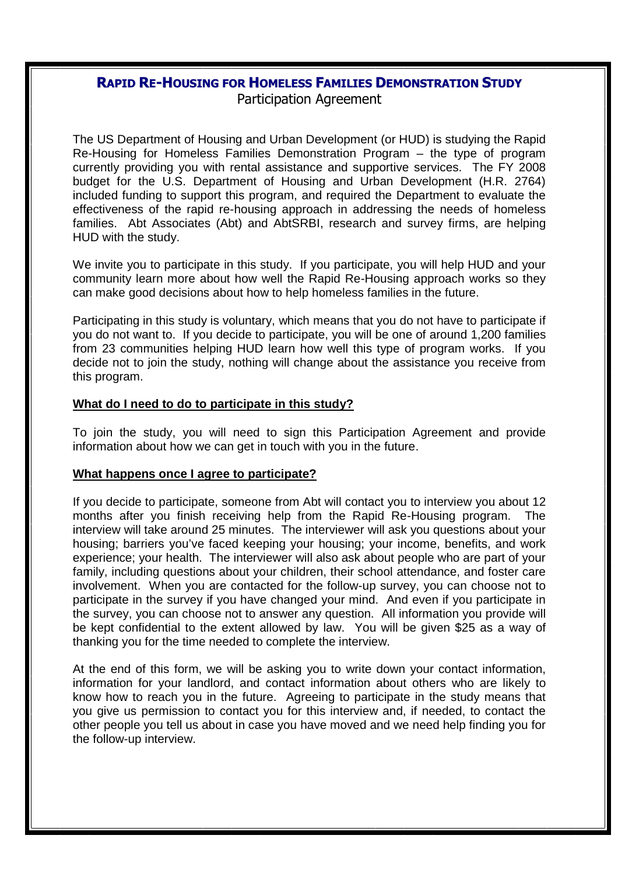### **RAPID RE-HOUSING FOR HOMELESS FAMILIES DEMONSTRATION STUDY** Participation Agreement

The US Department of Housing and Urban Development (or HUD) is studying the Rapid Re-Housing for Homeless Families Demonstration Program – the type of program currently providing you with rental assistance and supportive services. The FY 2008 budget for the U.S. Department of Housing and Urban Development (H.R. 2764) included funding to support this program, and required the Department to evaluate the effectiveness of the rapid re-housing approach in addressing the needs of homeless families. Abt Associates (Abt) and AbtSRBI, research and survey firms, are helping HUD with the study.

We invite you to participate in this study. If you participate, you will help HUD and your community learn more about how well the Rapid Re-Housing approach works so they can make good decisions about how to help homeless families in the future.

Participating in this study is voluntary, which means that you do not have to participate if you do not want to. If you decide to participate, you will be one of around 1,200 families from 23 communities helping HUD learn how well this type of program works. If you decide not to join the study, nothing will change about the assistance you receive from this program.

#### **What do I need to do to participate in this study?**

To join the study, you will need to sign this Participation Agreement and provide information about how we can get in touch with you in the future.

#### **What happens once I agree to participate?**

If you decide to participate, someone from Abt will contact you to interview you about 12 months after you finish receiving help from the Rapid Re-Housing program. interview will take around 25 minutes. The interviewer will ask you questions about your housing; barriers you've faced keeping your housing; your income, benefits, and work experience; your health. The interviewer will also ask about people who are part of your family, including questions about your children, their school attendance, and foster care involvement. When you are contacted for the follow-up survey, you can choose not to participate in the survey if you have changed your mind. And even if you participate in the survey, you can choose not to answer any question. All information you provide will be kept confidential to the extent allowed by law. You will be given \$25 as a way of thanking you for the time needed to complete the interview.

At the end of this form, we will be asking you to write down your contact information, information for your landlord, and contact information about others who are likely to know how to reach you in the future. Agreeing to participate in the study means that you give us permission to contact you for this interview and, if needed, to contact the other people you tell us about in case you have moved and we need help finding you for the follow-up interview.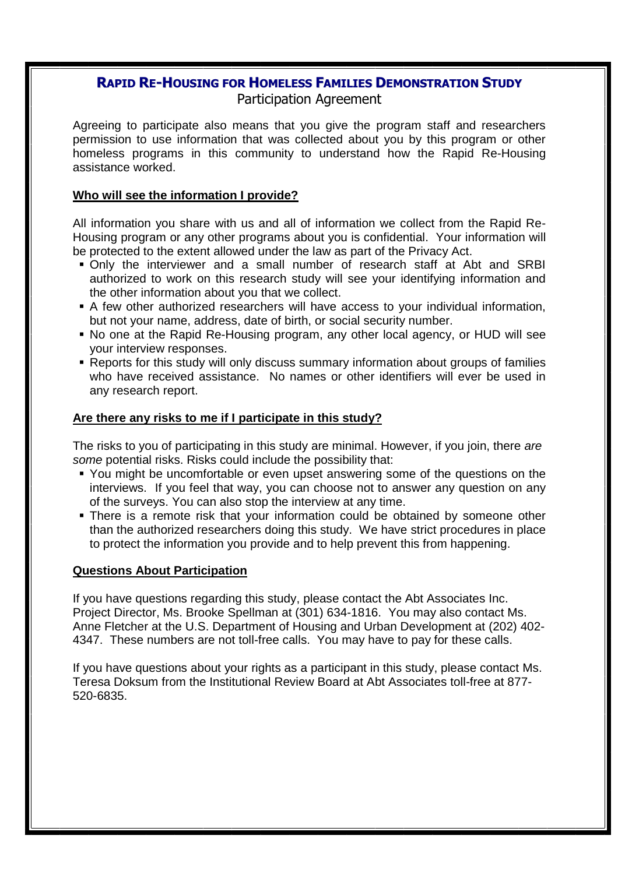# **RAPID RE-HOUSING FOR HOMELESS FAMILIES DEMONSTRATION STUDY**

### Participation Agreement

Agreeing to participate also means that you give the program staff and researchers permission to use information that was collected about you by this program or other homeless programs in this community to understand how the Rapid Re-Housing assistance worked.

#### **Who will see the information I provide?**

All information you share with us and all of information we collect from the Rapid Re-Housing program or any other programs about you is confidential. Your information will be protected to the extent allowed under the law as part of the Privacy Act.

- Only the interviewer and a small number of research staff at Abt and SRBI authorized to work on this research study will see your identifying information and the other information about you that we collect.
- A few other authorized researchers will have access to your individual information, but not your name, address, date of birth, or social security number.
- No one at the Rapid Re-Housing program, any other local agency, or HUD will see your interview responses.
- Reports for this study will only discuss summary information about groups of families who have received assistance. No names or other identifiers will ever be used in any research report.

#### **Are there any risks to me if I participate in this study?**

The risks to you of participating in this study are minimal. However, if you join, there *are some* potential risks. Risks could include the possibility that:

- You might be uncomfortable or even upset answering some of the questions on the interviews. If you feel that way, you can choose not to answer any question on any of the surveys. You can also stop the interview at any time.
- **There is a remote risk that your information could be obtained by someone other** than the authorized researchers doing this study. We have strict procedures in place to protect the information you provide and to help prevent this from happening.

#### **Questions About Participation**

If you have questions regarding this study, please contact the Abt Associates Inc. Project Director, Ms. Brooke Spellman at (301) 634-1816. You may also contact Ms. Anne Fletcher at the U.S. Department of Housing and Urban Development at (202) 402- 4347. These numbers are not toll-free calls. You may have to pay for these calls.

If you have questions about your rights as a participant in this study, please contact Ms. Teresa Doksum from the Institutional Review Board at Abt Associates toll-free at 877- 520-6835.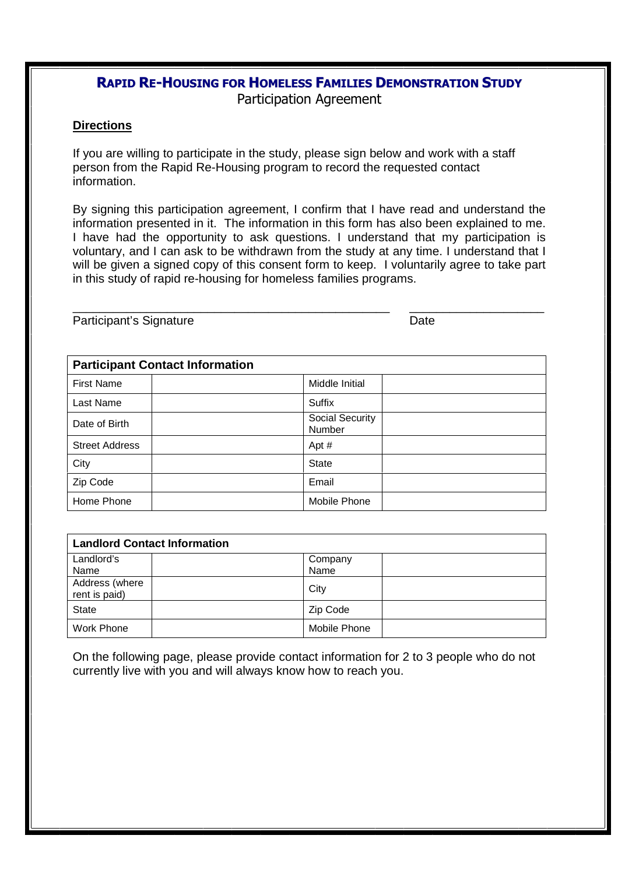### **RAPID RE-HOUSING FOR HOMELESS FAMILIES DEMONSTRATION STUDY** Participation Agreement

#### **Directions**

If you are willing to participate in the study, please sign below and work with a staff person from the Rapid Re-Housing program to record the requested contact information.

By signing this participation agreement, I confirm that I have read and understand the information presented in it. The information in this form has also been explained to me. I have had the opportunity to ask questions. I understand that my participation is voluntary, and I can ask to be withdrawn from the study at any time. I understand that I will be given a signed copy of this consent form to keep. I voluntarily agree to take part in this study of rapid re-housing for homeless families programs.

\_\_\_\_\_\_\_\_\_\_\_\_\_\_\_\_\_\_\_\_\_\_\_\_\_\_\_\_\_\_\_\_\_\_\_\_\_\_\_\_\_\_\_\_\_\_\_ \_\_\_\_\_\_\_\_\_\_\_\_\_\_\_\_\_\_\_\_

Participant's Signature Date

| <b>Participant Contact Information</b> |                           |  |
|----------------------------------------|---------------------------|--|
| <b>First Name</b>                      | Middle Initial            |  |
| Last Name                              | Suffix                    |  |
| Date of Birth                          | Social Security<br>Number |  |
| <b>Street Address</b>                  | Apt #                     |  |
| City                                   | <b>State</b>              |  |
| Zip Code                               | Email                     |  |
| Home Phone                             | Mobile Phone              |  |

| <b>Landlord Contact Information</b> |  |                 |  |
|-------------------------------------|--|-----------------|--|
| Landlord's<br>Name                  |  | Company<br>Name |  |
| Address (where<br>rent is paid)     |  | City            |  |
| <b>State</b>                        |  | Zip Code        |  |
| Work Phone                          |  | Mobile Phone    |  |

On the following page, please provide contact information for 2 to 3 people who do not currently live with you and will always know how to reach you.